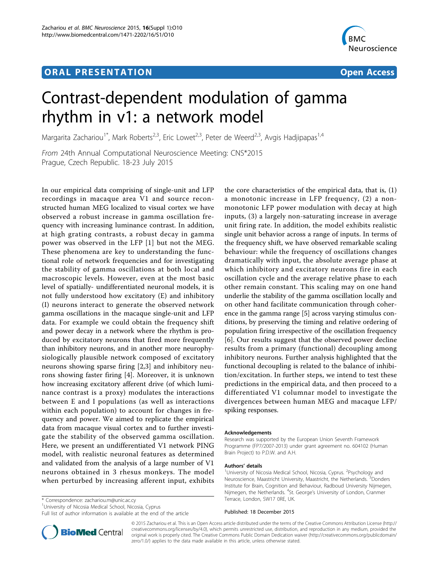# **ORAL PRESENTATION OPEN ACCESS**



# Contrast-dependent modulation of gamma rhythm in v1: a network model

Margarita Zachariou<sup>1\*</sup>, Mark Roberts<sup>2,3</sup>, Eric Lowet<sup>2,3</sup>, Peter de Weerd<sup>2,3</sup>, Avgis Hadjipapas<sup>1,4</sup>

From 24th Annual Computational Neuroscience Meeting: CNS\*2015 Prague, Czech Republic. 18-23 July 2015

In our empirical data comprising of single-unit and LFP recordings in macaque area V1 and source reconstructed human MEG localized to visual cortex we have observed a robust increase in gamma oscillation frequency with increasing luminance contrast. In addition, at high grating contrasts, a robust decay in gamma power was observed in the LFP [[1\]](#page-1-0) but not the MEG. These phenomena are key to understanding the functional role of network frequencies and for investigating the stability of gamma oscillations at both local and macroscopic levels. However, even at the most basic level of spatially- undifferentiated neuronal models, it is not fully understood how excitatory (E) and inhibitory (I) neurons interact to generate the observed network gamma oscillations in the macaque single-unit and LFP data. For example we could obtain the frequency shift and power decay in a network where the rhythm is produced by excitatory neurons that fired more frequently than inhibitory neurons, and in another more neurophysiologically plausible network composed of excitatory neurons showing sparse firing [[2,3\]](#page-1-0) and inhibitory neurons showing faster firing [[4\]](#page-1-0). Moreover, it is unknown how increasing excitatory afferent drive (of which luminance contrast is a proxy) modulates the interactions between E and I populations (as well as interactions within each population) to account for changes in frequency and power. We aimed to replicate the empirical data from macaque visual cortex and to further investigate the stability of the observed gamma oscillation. Here, we present an undifferentiated V1 network PING model, with realistic neuronal features as determined and validated from the analysis of a large number of V1 neurons obtained in 3 rhesus monkeys. The model when perturbed by increasing afferent input, exhibits

\* Correspondence: [zachariou.m@unic.ac.cy](mailto:zachariou.m@unic.ac.cy)

<sup>1</sup> University of Nicosia Medical School, Nicosia, Cyprus

Full list of author information is available at the end of the article

the core characteristics of the empirical data, that is, (1) a monotonic increase in LFP frequency, (2) a nonmonotonic LFP power modulation with decay at high inputs, (3) a largely non-saturating increase in average unit firing rate. In addition, the model exhibits realistic single unit behavior across a range of inputs. In terms of the frequency shift, we have observed remarkable scaling behaviour: while the frequency of oscillations changes dramatically with input, the absolute average phase at which inhibitory and excitatory neurons fire in each oscillation cycle and the average relative phase to each other remain constant. This scaling may on one hand underlie the stability of the gamma oscillation locally and on other hand facilitate communication through coherence in the gamma range [[5](#page-1-0)] across varying stimulus conditions, by preserving the timing and relative ordering of population firing irrespective of the oscillation frequency [[6](#page-1-0)]. Our results suggest that the observed power decline results from a primary (functional) decoupling among inhibitory neurons. Further analysis highlighted that the functional decoupling is related to the balance of inhibition/excitation. In further steps, we intend to test these predictions in the empirical data, and then proceed to a differentiated V1 columnar model to investigate the divergences between human MEG and macaque LFP/ spiking responses.

### Acknowledgements

Research was supported by the European Union Seventh Framework Programme (FP7/2007-2013) under grant agreement no. 604102 (Human Brain Project) to P.D.W. and A.H.

#### Authors' details <sup>1</sup>

University of Nicosia Medical School, Nicosia, Cyprus. <sup>2</sup>Psychology and Neuroscience, Maastricht University, Maastricht, the Netherlands.<sup>3</sup>Donders Institute for Brain, Cognition and Behaviour, Radboud University Nijmegen, Nijmegen, the Netherlands. <sup>4</sup>St. George's University of London, Cranmer Terrace, London, SW17 0RE, UK.

#### Published: 18 December 2015



© 2015 Zachariou et al. This is an Open Access article distributed under the terms of the Creative Commons Attribution License [\(http://](http://creativecommons.org/licenses/by/4.0) [creativecommons.org/licenses/by/4.0](http://creativecommons.org/licenses/by/4.0)), which permits unrestricted use, distribution, and reproduction in any medium, provided the original work is properly cited. The Creative Commons Public Domain Dedication waiver ([http://creativecommons.org/publicdomain/](http://creativecommons.org/publicdomain/zero/1.0/) [zero/1.0/](http://creativecommons.org/publicdomain/zero/1.0/)) applies to the data made available in this article, unless otherwise stated.